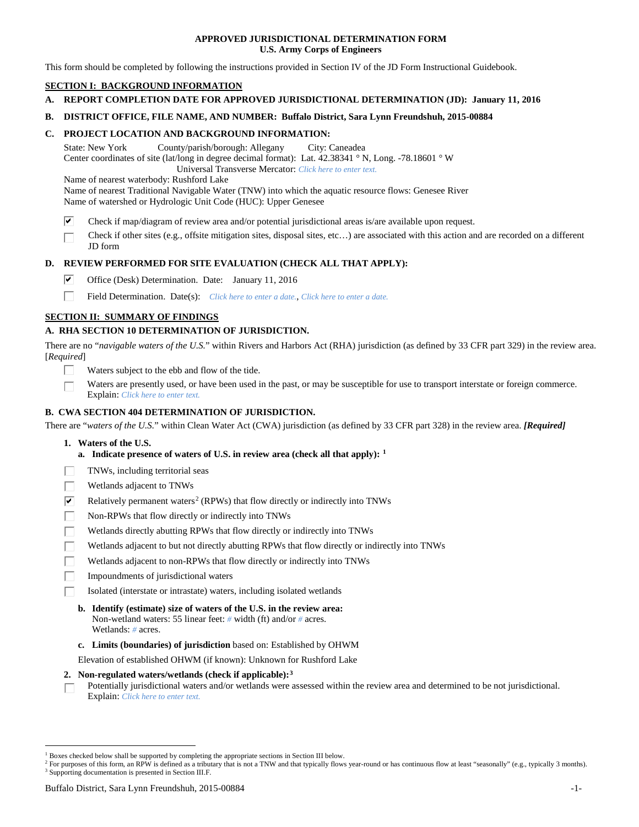## **APPROVED JURISDICTIONAL DETERMINATION FORM U.S. Army Corps of Engineers**

This form should be completed by following the instructions provided in Section IV of the JD Form Instructional Guidebook.

# **SECTION I: BACKGROUND INFORMATION**

- **A. REPORT COMPLETION DATE FOR APPROVED JURISDICTIONAL DETERMINATION (JD): January 11, 2016**
- **B. DISTRICT OFFICE, FILE NAME, AND NUMBER: Buffalo District, Sara Lynn Freundshuh, 2015-00884**

## **C. PROJECT LOCATION AND BACKGROUND INFORMATION:**

State: New York County/parish/borough: Allegany City: Caneadea Center coordinates of site (lat/long in degree decimal format): Lat. 42.38341 ° N, Long. -78.18601 ° W Universal Transverse Mercator: *Click here to enter text.*

Name of nearest waterbody: Rushford Lake

Name of nearest Traditional Navigable Water (TNW) into which the aquatic resource flows: Genesee River Name of watershed or Hydrologic Unit Code (HUC): Upper Genesee

- ☑ Check if map/diagram of review area and/or potential jurisdictional areas is/are available upon request.
- Check if other sites (e.g., offsite mitigation sites, disposal sites, etc…) are associated with this action and are recorded on a different JD form

# **D. REVIEW PERFORMED FOR SITE EVALUATION (CHECK ALL THAT APPLY):**

- ⊽ Office (Desk) Determination. Date: January 11, 2016
- п Field Determination. Date(s): *Click here to enter a date.*, *Click here to enter a date.*

# **SECTION II: SUMMARY OF FINDINGS**

# **A. RHA SECTION 10 DETERMINATION OF JURISDICTION.**

There are no "*navigable waters of the U.S.*" within Rivers and Harbors Act (RHA) jurisdiction (as defined by 33 CFR part 329) in the review area. [*Required*]

- Waters subject to the ebb and flow of the tide.
- Waters are presently used, or have been used in the past, or may be susceptible for use to transport interstate or foreign commerce. Explain: *Click here to enter text.*

## **B. CWA SECTION 404 DETERMINATION OF JURISDICTION.**

There are "*waters of the U.S.*" within Clean Water Act (CWA) jurisdiction (as defined by 33 CFR part 328) in the review area. *[Required]*

- **1. Waters of the U.S.**
	- **a. Indicate presence of waters of U.S. in review area (check all that apply): [1](#page-0-0)**
- TNWs, including territorial seas
- Wetlands adjacent to TNWs
- $\overline{\mathbf{v}}$ Relatively permanent waters<sup>[2](#page-0-1)</sup> (RPWs) that flow directly or indirectly into TNWs
- П Non-RPWs that flow directly or indirectly into TNWs
- Wetlands directly abutting RPWs that flow directly or indirectly into TNWs
- Wetlands adjacent to but not directly abutting RPWs that flow directly or indirectly into TNWs
- Wetlands adjacent to non-RPWs that flow directly or indirectly into TNWs
- Impoundments of jurisdictional waters
- Isolated (interstate or intrastate) waters, including isolated wetlands
	- **b. Identify (estimate) size of waters of the U.S. in the review area:** Non-wetland waters: 55 linear feet: *#* width (ft) and/or *#* acres. Wetlands: *#* acres.
	- **c. Limits (boundaries) of jurisdiction** based on: Established by OHWM

Elevation of established OHWM (if known): Unknown for Rushford Lake

- **2. Non-regulated waters/wetlands (check if applicable):[3](#page-0-2)**
- Potentially jurisdictional waters and/or wetlands were assessed within the review area and determined to be not jurisdictional. П Explain: *Click here to enter text.*

<span id="page-0-0"></span><sup>&</sup>lt;sup>1</sup> Boxes checked below shall be supported by completing the appropriate sections in Section III below.

<span id="page-0-2"></span><span id="page-0-1"></span><sup>&</sup>lt;sup>2</sup> For purposes of this form, an RPW is defined as a tributary that is not a TNW and that typically flows year-round or has continuous flow at least "seasonally" (e.g., typically 3 months). <sup>3</sup> Supporting documentation is presented in Section III.F.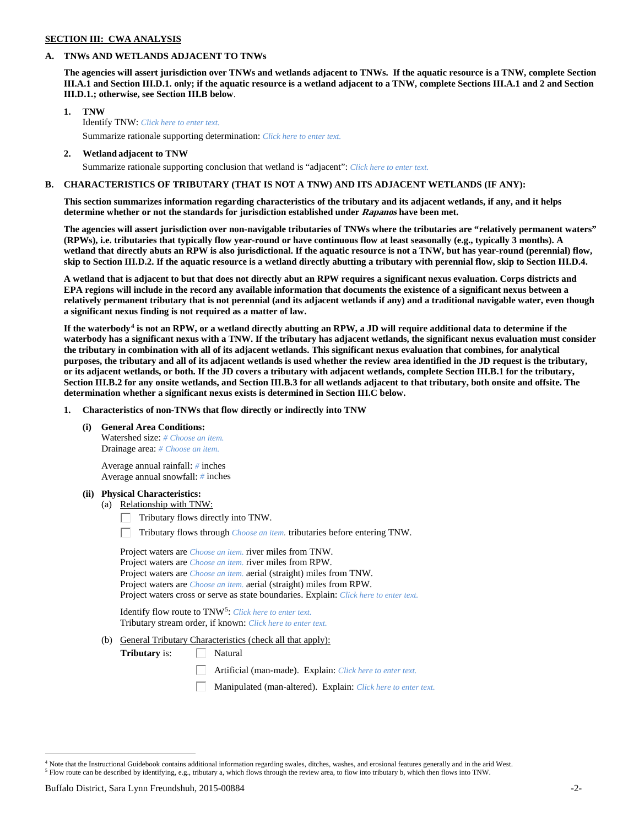# **SECTION III: CWA ANALYSIS**

#### **A. TNWs AND WETLANDS ADJACENT TO TNWs**

**The agencies will assert jurisdiction over TNWs and wetlands adjacent to TNWs. If the aquatic resource is a TNW, complete Section III.A.1 and Section III.D.1. only; if the aquatic resource is a wetland adjacent to a TNW, complete Sections III.A.1 and 2 and Section III.D.1.; otherwise, see Section III.B below**.

- **1. TNW**  Identify TNW: *Click here to enter text.*
	- Summarize rationale supporting determination: *Click here to enter text.*
- **2. Wetland adjacent to TNW** Summarize rationale supporting conclusion that wetland is "adjacent": *Click here to enter text.*

### **B. CHARACTERISTICS OF TRIBUTARY (THAT IS NOT A TNW) AND ITS ADJACENT WETLANDS (IF ANY):**

**This section summarizes information regarding characteristics of the tributary and its adjacent wetlands, if any, and it helps determine whether or not the standards for jurisdiction established under Rapanos have been met.** 

**The agencies will assert jurisdiction over non-navigable tributaries of TNWs where the tributaries are "relatively permanent waters" (RPWs), i.e. tributaries that typically flow year-round or have continuous flow at least seasonally (e.g., typically 3 months). A wetland that directly abuts an RPW is also jurisdictional. If the aquatic resource is not a TNW, but has year-round (perennial) flow, skip to Section III.D.2. If the aquatic resource is a wetland directly abutting a tributary with perennial flow, skip to Section III.D.4.**

**A wetland that is adjacent to but that does not directly abut an RPW requires a significant nexus evaluation. Corps districts and EPA regions will include in the record any available information that documents the existence of a significant nexus between a relatively permanent tributary that is not perennial (and its adjacent wetlands if any) and a traditional navigable water, even though a significant nexus finding is not required as a matter of law.**

**If the waterbody[4](#page-1-0) is not an RPW, or a wetland directly abutting an RPW, a JD will require additional data to determine if the waterbody has a significant nexus with a TNW. If the tributary has adjacent wetlands, the significant nexus evaluation must consider the tributary in combination with all of its adjacent wetlands. This significant nexus evaluation that combines, for analytical purposes, the tributary and all of its adjacent wetlands is used whether the review area identified in the JD request is the tributary, or its adjacent wetlands, or both. If the JD covers a tributary with adjacent wetlands, complete Section III.B.1 for the tributary, Section III.B.2 for any onsite wetlands, and Section III.B.3 for all wetlands adjacent to that tributary, both onsite and offsite. The determination whether a significant nexus exists is determined in Section III.C below.**

**1. Characteristics of non-TNWs that flow directly or indirectly into TNW**

**(i) General Area Conditions:**

Watershed size: *# Choose an item.* Drainage area: *# Choose an item.*

Average annual rainfall: *#* inches Average annual snowfall: *#* inches

#### **(ii) Physical Characteristics:**

- (a) Relationship with TNW:
	- Tributary flows directly into TNW. Г.

Tributary flows through *Choose an item.* tributaries before entering TNW.

Project waters are *Choose an item.* river miles from TNW. Project waters are *Choose an item.* river miles from RPW. Project waters are *Choose an item.* aerial (straight) miles from TNW. Project waters are *Choose an item.* aerial (straight) miles from RPW. Project waters cross or serve as state boundaries. Explain: *Click here to enter text.*

Identify flow route to TNW[5:](#page-1-1) *Click here to enter text.* Tributary stream order, if known: *Click here to enter text.*

(b) General Tributary Characteristics (check all that apply):

**Tributary** is:  $\Box$  Natural

- Artificial (man-made). Explain: *Click here to enter text.*
- Manipulated (man-altered). Explain: *Click here to enter text.*

<span id="page-1-1"></span><span id="page-1-0"></span><sup>&</sup>lt;sup>4</sup> Note that the Instructional Guidebook contains additional information regarding swales, ditches, washes, and erosional features generally and in the arid West. <sup>5</sup> Flow route can be described by identifying, e.g., tributary a, which flows through the review area, to flow into tributary b, which then flows into TNW.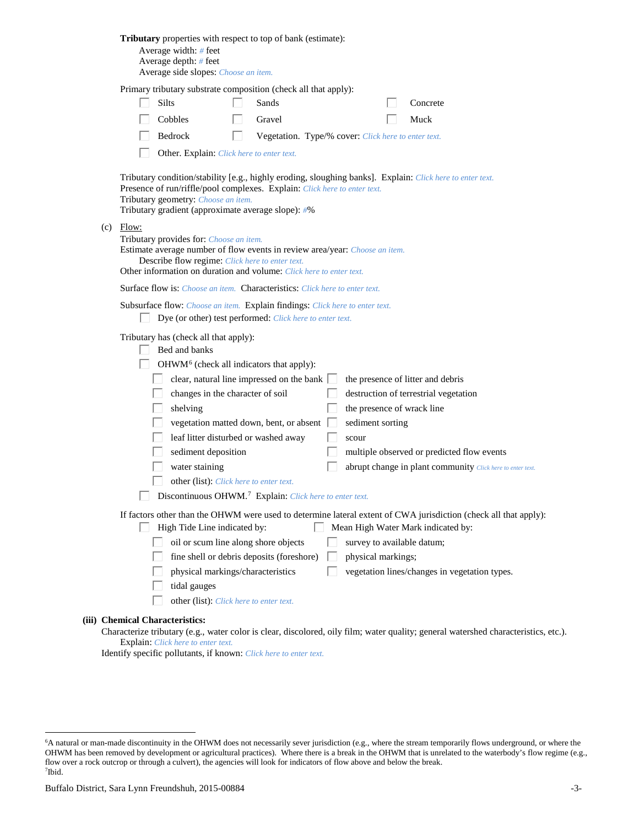| Tributary properties with respect to top of bank (estimate):<br>Average width: # feet<br>Average depth: $#$ feet<br>Average side slopes: Choose an item.                                                                                                                                                                                                                                                                                                                                                                                                                                                                                                                                                                     |
|------------------------------------------------------------------------------------------------------------------------------------------------------------------------------------------------------------------------------------------------------------------------------------------------------------------------------------------------------------------------------------------------------------------------------------------------------------------------------------------------------------------------------------------------------------------------------------------------------------------------------------------------------------------------------------------------------------------------------|
| Primary tributary substrate composition (check all that apply):<br><b>Silts</b><br>Sands<br>Concrete<br>Cobbles<br>Gravel<br>Muck<br>Bedrock<br>Vegetation. Type/% cover: Click here to enter text.<br>L.<br>Other. Explain: Click here to enter text.                                                                                                                                                                                                                                                                                                                                                                                                                                                                       |
| Tributary condition/stability [e.g., highly eroding, sloughing banks]. Explain: Click here to enter text.<br>Presence of run/riffle/pool complexes. Explain: Click here to enter text.<br>Tributary geometry: Choose an item.<br>Tributary gradient (approximate average slope): #%                                                                                                                                                                                                                                                                                                                                                                                                                                          |
| $(c)$ Flow:<br>Tributary provides for: Choose an item.<br>Estimate average number of flow events in review area/year: Choose an item.<br>Describe flow regime: Click here to enter text.<br>Other information on duration and volume: Click here to enter text.                                                                                                                                                                                                                                                                                                                                                                                                                                                              |
| <b>Surface flow is:</b> Choose an item. <b>Characteristics:</b> Click here to enter text.                                                                                                                                                                                                                                                                                                                                                                                                                                                                                                                                                                                                                                    |
| Subsurface flow: Choose an item. Explain findings: Click here to enter text.<br>Dye (or other) test performed: Click here to enter text.                                                                                                                                                                                                                                                                                                                                                                                                                                                                                                                                                                                     |
| Tributary has (check all that apply):<br>Bed and banks<br>OHWM <sup>6</sup> (check all indicators that apply):<br>clear, natural line impressed on the bank $\Box$<br>the presence of litter and debris<br>changes in the character of soil<br>destruction of terrestrial vegetation<br>the presence of wrack line<br>shelving<br>vegetation matted down, bent, or absent<br>sediment sorting<br>leaf litter disturbed or washed away<br>scour<br>sediment deposition<br>multiple observed or predicted flow events<br>water staining<br>abrupt change in plant community Click here to enter text.<br>other (list): Click here to enter text.<br>$\Box$ Discontinuous OHWM. <sup>7</sup> Explain: Click here to enter text. |
| If factors other than the OHWM were used to determine lateral extent of CWA jurisdiction (check all that apply):<br>High Tide Line indicated by:<br>Mean High Water Mark indicated by:<br>L<br>oil or scum line along shore objects<br>survey to available datum;<br>fine shell or debris deposits (foreshore)<br>physical markings;<br>physical markings/characteristics<br>vegetation lines/changes in vegetation types.<br>tidal gauges<br>other (list): Click here to enter text.                                                                                                                                                                                                                                        |
| (iii) Chemical Characteristics:<br>is algor, discolored, oily film; water quality; conoral watersh                                                                                                                                                                                                                                                                                                                                                                                                                                                                                                                                                                                                                           |

Characterize tributary (e.g., water color is clear, discolored, oily film; water quality; general watershed characteristics, etc.). Explain: *Click here to enter text.*

Identify specific pollutants, if known: *Click here to enter text.*

<span id="page-2-1"></span><span id="page-2-0"></span> <sup>6</sup> <sup>6</sup>A natural or man-made discontinuity in the OHWM does not necessarily sever jurisdiction (e.g., where the stream temporarily flows underground, or where the OHWM has been removed by development or agricultural practices). Where there is a break in the OHWM that is unrelated to the waterbody's flow regime (e.g., flow over a rock outcrop or through a culvert), the agencies will look for indicators of flow above and below the break. 7 Ibid.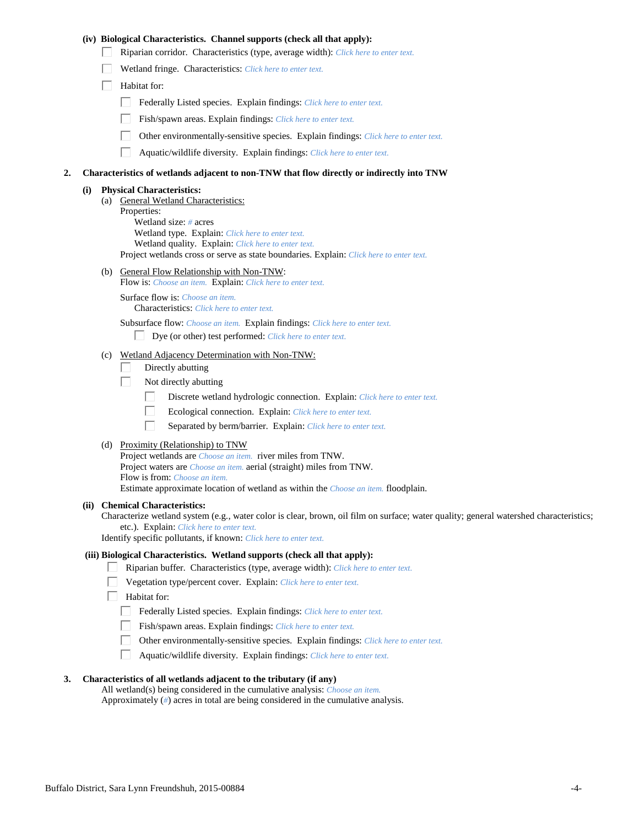## **(iv) Biological Characteristics. Channel supports (check all that apply):**

- Riparian corridor. Characteristics (type, average width): *Click here to enter text.*
- Wetland fringe. Characteristics: *Click here to enter text.*
- $\Box$  Habitat for:
	- Federally Listed species. Explain findings: *Click here to enter text.*
	- Fish/spawn areas. Explain findings: *Click here to enter text.*
	- Other environmentally-sensitive species. Explain findings: *Click here to enter text.*
	- П. Aquatic/wildlife diversity. Explain findings: *Click here to enter text.*

#### **2. Characteristics of wetlands adjacent to non-TNW that flow directly or indirectly into TNW**

#### **(i) Physical Characteristics:**

(a) General Wetland Characteristics: Properties: Wetland size: *#* acres Wetland type. Explain: *Click here to enter text.* Wetland quality. Explain: *Click here to enter text.* Project wetlands cross or serve as state boundaries. Explain: *Click here to enter text.*

(b) General Flow Relationship with Non-TNW:

Flow is: *Choose an item.* Explain: *Click here to enter text.*

Surface flow is: *Choose an item.* Characteristics: *Click here to enter text.*

Subsurface flow: *Choose an item.* Explain findings: *Click here to enter text.*

- Dye (or other) test performed: *Click here to enter text.*
- (c) Wetland Adjacency Determination with Non-TNW:
	- Directly abutting П.
	- П. Not directly abutting
		- П. Discrete wetland hydrologic connection. Explain: *Click here to enter text.*
		- П. Ecological connection. Explain: *Click here to enter text.*
		- П. Separated by berm/barrier. Explain: *Click here to enter text.*
- (d) Proximity (Relationship) to TNW

Project wetlands are *Choose an item.* river miles from TNW. Project waters are *Choose an item.* aerial (straight) miles from TNW. Flow is from: *Choose an item.* Estimate approximate location of wetland as within the *Choose an item.* floodplain.

#### **(ii) Chemical Characteristics:**

Characterize wetland system (e.g., water color is clear, brown, oil film on surface; water quality; general watershed characteristics; etc.). Explain: *Click here to enter text.*

Identify specific pollutants, if known: *Click here to enter text.*

#### **(iii) Biological Characteristics. Wetland supports (check all that apply):**

- Riparian buffer. Characteristics (type, average width): *Click here to enter text.*
	- Vegetation type/percent cover. Explain: *Click here to enter text.*
	- Habitat for:
		- Federally Listed species. Explain findings: *Click here to enter text*.
		- Fish/spawn areas. Explain findings: *Click here to enter text.*
		- Other environmentally-sensitive species. Explain findings: *Click here to enter text.*  $\Box$
		- $\Box$ Aquatic/wildlife diversity. Explain findings: *Click here to enter text.*

## **3. Characteristics of all wetlands adjacent to the tributary (if any)**

All wetland(s) being considered in the cumulative analysis: *Choose an item.* Approximately (*#*) acres in total are being considered in the cumulative analysis.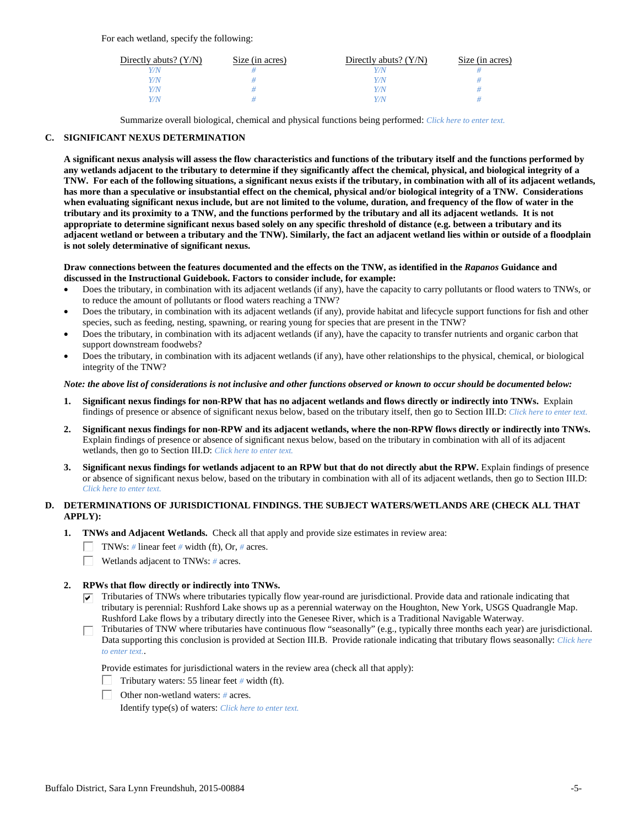For each wetland, specify the following:

| Directly abuts? $(Y/N)$ | Size (in acres) | Directly abuts? $(Y/N)$ | Size (in acres) |
|-------------------------|-----------------|-------------------------|-----------------|
| Y/N                     |                 |                         |                 |
| Y/N                     |                 | Y/N                     |                 |
| Y/N                     |                 | Y/N                     |                 |
| Y/N                     |                 | Y/N                     |                 |

Summarize overall biological, chemical and physical functions being performed: *Click here to enter text.*

## **C. SIGNIFICANT NEXUS DETERMINATION**

**A significant nexus analysis will assess the flow characteristics and functions of the tributary itself and the functions performed by any wetlands adjacent to the tributary to determine if they significantly affect the chemical, physical, and biological integrity of a TNW. For each of the following situations, a significant nexus exists if the tributary, in combination with all of its adjacent wetlands, has more than a speculative or insubstantial effect on the chemical, physical and/or biological integrity of a TNW. Considerations when evaluating significant nexus include, but are not limited to the volume, duration, and frequency of the flow of water in the tributary and its proximity to a TNW, and the functions performed by the tributary and all its adjacent wetlands. It is not appropriate to determine significant nexus based solely on any specific threshold of distance (e.g. between a tributary and its adjacent wetland or between a tributary and the TNW). Similarly, the fact an adjacent wetland lies within or outside of a floodplain is not solely determinative of significant nexus.** 

### **Draw connections between the features documented and the effects on the TNW, as identified in the** *Rapanos* **Guidance and discussed in the Instructional Guidebook. Factors to consider include, for example:**

- Does the tributary, in combination with its adjacent wetlands (if any), have the capacity to carry pollutants or flood waters to TNWs, or to reduce the amount of pollutants or flood waters reaching a TNW?
- Does the tributary, in combination with its adjacent wetlands (if any), provide habitat and lifecycle support functions for fish and other species, such as feeding, nesting, spawning, or rearing young for species that are present in the TNW?
- Does the tributary, in combination with its adjacent wetlands (if any), have the capacity to transfer nutrients and organic carbon that support downstream foodwebs?
- Does the tributary, in combination with its adjacent wetlands (if any), have other relationships to the physical, chemical, or biological integrity of the TNW?

### *Note: the above list of considerations is not inclusive and other functions observed or known to occur should be documented below:*

- **1. Significant nexus findings for non-RPW that has no adjacent wetlands and flows directly or indirectly into TNWs.** Explain findings of presence or absence of significant nexus below, based on the tributary itself, then go to Section III.D: *Click here to enter text.*
- **2. Significant nexus findings for non-RPW and its adjacent wetlands, where the non-RPW flows directly or indirectly into TNWs.**  Explain findings of presence or absence of significant nexus below, based on the tributary in combination with all of its adjacent wetlands, then go to Section III.D: *Click here to enter text.*
- **3. Significant nexus findings for wetlands adjacent to an RPW but that do not directly abut the RPW.** Explain findings of presence or absence of significant nexus below, based on the tributary in combination with all of its adjacent wetlands, then go to Section III.D: *Click here to enter text.*

# **D. DETERMINATIONS OF JURISDICTIONAL FINDINGS. THE SUBJECT WATERS/WETLANDS ARE (CHECK ALL THAT APPLY):**

- **1. TNWs and Adjacent Wetlands.** Check all that apply and provide size estimates in review area:
	- TNWs: *#* linear feet *#* width (ft), Or, *#* acres.
	- $\Box$ Wetlands adjacent to TNWs: *#* acres.

# **2. RPWs that flow directly or indirectly into TNWs.**

- $\triangledown$  Tributaries of TNWs where tributaries typically flow year-round are jurisdictional. Provide data and rationale indicating that tributary is perennial: Rushford Lake shows up as a perennial waterway on the Houghton, New York, USGS Quadrangle Map. Rushford Lake flows by a tributary directly into the Genesee River, which is a Traditional Navigable Waterway.
- Tributaries of TNW where tributaries have continuous flow "seasonally" (e.g., typically three months each year) are jurisdictional. П. Data supporting this conclusion is provided at Section III.B. Provide rationale indicating that tributary flows seasonally: *Click here to enter text.*.

Provide estimates for jurisdictional waters in the review area (check all that apply):

- Tributary waters: 55 linear feet  $#$  width (ft).
- Other non-wetland waters: *#* acres.

Identify type(s) of waters: *Click here to enter text.*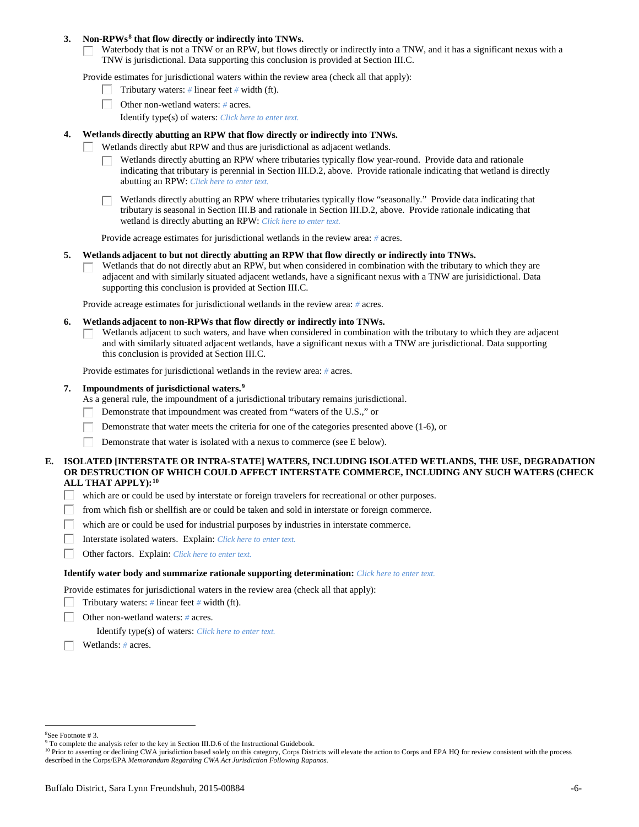### **3. Non-RPWs[8](#page-5-0) that flow directly or indirectly into TNWs.**

Waterbody that is not a TNW or an RPW, but flows directly or indirectly into a TNW, and it has a significant nexus with a TNW is jurisdictional. Data supporting this conclusion is provided at Section III.C.

Provide estimates for jurisdictional waters within the review area (check all that apply):

- Tributary waters: *#* linear feet *#* width (ft).  $\mathbf{L}$
- Other non-wetland waters: *#* acres.
	- Identify type(s) of waters: *Click here to enter text.*

## **4. Wetlands directly abutting an RPW that flow directly or indirectly into TNWs.**

- ГT. Wetlands directly abut RPW and thus are jurisdictional as adjacent wetlands.
	- Wetlands directly abutting an RPW where tributaries typically flow year-round. Provide data and rationale indicating that tributary is perennial in Section III.D.2, above. Provide rationale indicating that wetland is directly abutting an RPW: *Click here to enter text.*

Wetlands directly abutting an RPW where tributaries typically flow "seasonally." Provide data indicating that tributary is seasonal in Section III.B and rationale in Section III.D.2, above. Provide rationale indicating that wetland is directly abutting an RPW: *Click here to enter text.*

Provide acreage estimates for jurisdictional wetlands in the review area: *#* acres.

### **5. Wetlands adjacent to but not directly abutting an RPW that flow directly or indirectly into TNWs.**

Wetlands that do not directly abut an RPW, but when considered in combination with the tributary to which they are П adjacent and with similarly situated adjacent wetlands, have a significant nexus with a TNW are jurisidictional. Data supporting this conclusion is provided at Section III.C.

Provide acreage estimates for jurisdictional wetlands in the review area: *#* acres.

### **6. Wetlands adjacent to non-RPWs that flow directly or indirectly into TNWs.**

Wetlands adjacent to such waters, and have when considered in combination with the tributary to which they are adjacent П and with similarly situated adjacent wetlands, have a significant nexus with a TNW are jurisdictional. Data supporting this conclusion is provided at Section III.C.

Provide estimates for jurisdictional wetlands in the review area: *#* acres.

## **7. Impoundments of jurisdictional waters. [9](#page-5-1)**

As a general rule, the impoundment of a jurisdictional tributary remains jurisdictional.

- Demonstrate that impoundment was created from "waters of the U.S.," or
- Demonstrate that water meets the criteria for one of the categories presented above (1-6), or
- Demonstrate that water is isolated with a nexus to commerce (see E below). Г

## **E. ISOLATED [INTERSTATE OR INTRA-STATE] WATERS, INCLUDING ISOLATED WETLANDS, THE USE, DEGRADATION OR DESTRUCTION OF WHICH COULD AFFECT INTERSTATE COMMERCE, INCLUDING ANY SUCH WATERS (CHECK ALL THAT APPLY):[10](#page-5-2)**

- L. which are or could be used by interstate or foreign travelers for recreational or other purposes.
- from which fish or shellfish are or could be taken and sold in interstate or foreign commerce.
- which are or could be used for industrial purposes by industries in interstate commerce. П.
- Г Interstate isolated waters.Explain: *Click here to enter text.*
- п Other factors.Explain: *Click here to enter text.*

### **Identify water body and summarize rationale supporting determination:** *Click here to enter text.*

Provide estimates for jurisdictional waters in the review area (check all that apply):

- Tributary waters: *#* linear feet *#* width (ft).
- Other non-wetland waters: *#* acres.

Identify type(s) of waters: *Click here to enter text.*

Wetlands: *#* acres.

<span id="page-5-0"></span> $\frac{1}{8}$ See Footnote # 3.

<span id="page-5-1"></span><sup>&</sup>lt;sup>9</sup> To complete the analysis refer to the key in Section III.D.6 of the Instructional Guidebook.

<span id="page-5-2"></span><sup>&</sup>lt;sup>10</sup> Prior to asserting or declining CWA jurisdiction based solely on this category, Corps Districts will elevate the action to Corps and EPA HQ for review consistent with the process described in the Corps/EPA *Memorandum Regarding CWA Act Jurisdiction Following Rapanos.*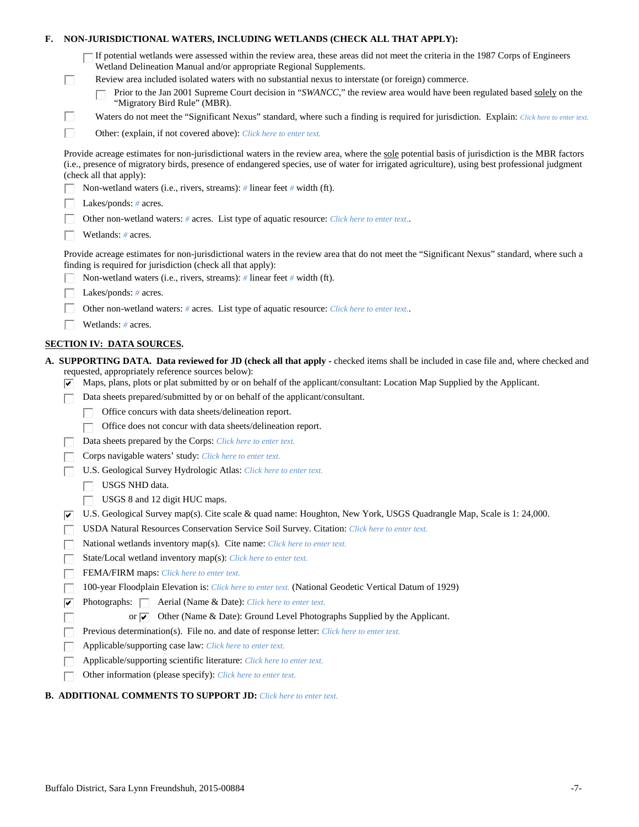| F. |    | NON-JURISDICTIONAL WATERS, INCLUDING WETLANDS (CHECK ALL THAT APPLY):                                                                                                                                                                                                                                                     |
|----|----|---------------------------------------------------------------------------------------------------------------------------------------------------------------------------------------------------------------------------------------------------------------------------------------------------------------------------|
|    |    | "If potential wetlands were assessed within the review area, these areas did not meet the criteria in the 1987 Corps of Engineers<br>Wetland Delineation Manual and/or appropriate Regional Supplements.                                                                                                                  |
|    | ш  | Review area included isolated waters with no substantial nexus to interstate (or foreign) commerce.                                                                                                                                                                                                                       |
|    |    | Prior to the Jan 2001 Supreme Court decision in "SWANCC," the review area would have been regulated based solely on the<br>"Migratory Bird Rule" (MBR).                                                                                                                                                                   |
|    | Ш  | Waters do not meet the "Significant Nexus" standard, where such a finding is required for jurisdiction. Explain: Click here to enter text.                                                                                                                                                                                |
|    | П  | Other: (explain, if not covered above): Click here to enter text.                                                                                                                                                                                                                                                         |
|    |    | Provide acreage estimates for non-jurisdictional waters in the review area, where the sole potential basis of jurisdiction is the MBR factors<br>(i.e., presence of migratory birds, presence of endangered species, use of water for irrigated agriculture), using best professional judgment<br>(check all that apply): |
|    |    | Non-wetland waters (i.e., rivers, streams): # linear feet # width (ft).                                                                                                                                                                                                                                                   |
|    |    | Lakes/ponds: $# \, \text{acres.}$                                                                                                                                                                                                                                                                                         |
|    |    | Other non-wetland waters: # acres. List type of aquatic resource: Click here to enter text                                                                                                                                                                                                                                |
|    |    | Wetlands: # acres.                                                                                                                                                                                                                                                                                                        |
|    |    | Provide acreage estimates for non-jurisdictional waters in the review area that do not meet the "Significant Nexus" standard, where such a<br>finding is required for jurisdiction (check all that apply):                                                                                                                |
|    |    | Non-wetland waters (i.e., rivers, streams): $\#$ linear feet $\#$ width (ft).                                                                                                                                                                                                                                             |
|    |    | Lakes/ponds: # acres.                                                                                                                                                                                                                                                                                                     |
|    |    | Other non-wetland waters: # acres. List type of aquatic resource: Click here to enter text                                                                                                                                                                                                                                |
|    |    | Wetlands: # acres.                                                                                                                                                                                                                                                                                                        |
|    |    | <b>SECTION IV: DATA SOURCES.</b>                                                                                                                                                                                                                                                                                          |
|    |    | A. SUPPORTING DATA. Data reviewed for JD (check all that apply - checked items shall be included in case file and, where checked and                                                                                                                                                                                      |
|    | ⊮  | requested, appropriately reference sources below):<br>Maps, plans, plots or plat submitted by or on behalf of the applicant/consultant: Location Map Supplied by the Applicant.                                                                                                                                           |
|    |    | Data sheets prepared/submitted by or on behalf of the applicant/consultant.                                                                                                                                                                                                                                               |
|    |    | Office concurs with data sheets/delineation report.                                                                                                                                                                                                                                                                       |
|    |    | Office does not concur with data sheets/delineation report.                                                                                                                                                                                                                                                               |
|    |    | Data sheets prepared by the Corps: Click here to enter text.                                                                                                                                                                                                                                                              |
|    |    | Corps navigable waters' study: Click here to enter text.                                                                                                                                                                                                                                                                  |
|    |    | U.S. Geological Survey Hydrologic Atlas: Click here to enter text.                                                                                                                                                                                                                                                        |
|    |    | USGS NHD data.                                                                                                                                                                                                                                                                                                            |
|    |    | USGS 8 and 12 digit HUC maps.                                                                                                                                                                                                                                                                                             |
|    | ∣✔ | U.S. Geological Survey map(s). Cite scale & quad name: Houghton, New York, USGS Quadrangle Map, Scale is 1: 24,000.<br>USDA Natural Resources Conservation Service Soil Survey. Citation: Click here to enter text.                                                                                                       |
|    |    | National wetlands inventory map(s). Cite name: Click here to enter text.                                                                                                                                                                                                                                                  |
|    |    | State/Local wetland inventory map(s): Click here to enter text.                                                                                                                                                                                                                                                           |
|    |    | FEMA/FIRM maps: Click here to enter text.                                                                                                                                                                                                                                                                                 |
|    |    | 100-year Floodplain Elevation is: Click here to enter text. (National Geodetic Vertical Datum of 1929)                                                                                                                                                                                                                    |
|    | ⊽  | Photographs: $\Box$<br>Aerial (Name & Date): Click here to enter text.                                                                                                                                                                                                                                                    |
|    |    | Other (Name & Date): Ground Level Photographs Supplied by the Applicant.<br>or $\overline{\mathbf{v}}$                                                                                                                                                                                                                    |
|    |    | Previous determination(s). File no. and date of response letter: Click here to enter text.                                                                                                                                                                                                                                |
|    |    | Applicable/supporting case law: Click here to enter text.                                                                                                                                                                                                                                                                 |
|    |    | Applicable/supporting scientific literature: Click here to enter text.                                                                                                                                                                                                                                                    |
|    |    | Other information (please specify): Click here to enter text.                                                                                                                                                                                                                                                             |
|    |    |                                                                                                                                                                                                                                                                                                                           |

# **B. ADDITIONAL COMMENTS TO SUPPORT JD:** *Click here to enter text.*